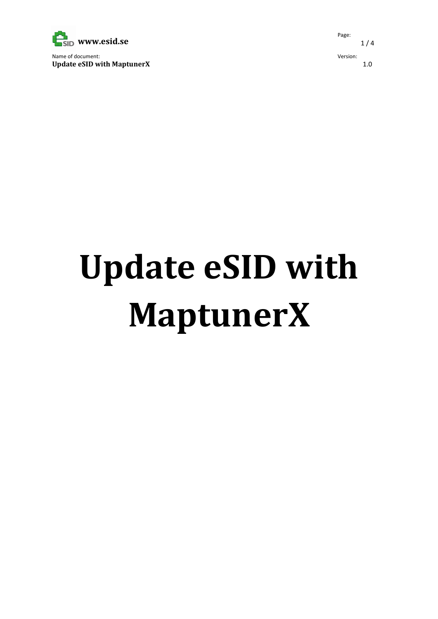

Name of document: Update eSID with MaptunerX Page:  $1/4$ Version: 1.0

## Update eSID with MaptunerX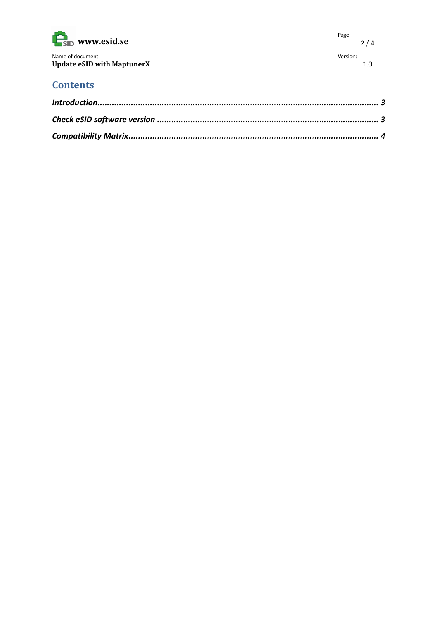| $\mathbf{E}_{\text{SID}}$ www.esid.se | Page:    | 2/4 |
|---------------------------------------|----------|-----|
| Name of document:                     | Version: |     |
| <b>Update eSID with MaptunerX</b>     |          | 1.0 |

## **Contents**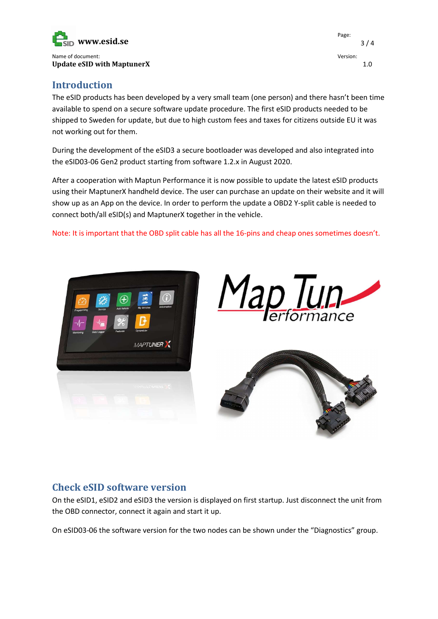

Introduction

The eSID products has been developed by a very small team (one person) and there hasn't been time available to spend on a secure software update procedure. The first eSID products needed to be shipped to Sweden for update, but due to high custom fees and taxes for citizens outside EU it was not working out for them.

During the development of the eSID3 a secure bootloader was developed and also integrated into the eSID03-06 Gen2 product starting from software 1.2.x in August 2020.

After a cooperation with Maptun Performance it is now possible to update the latest eSID products using their MaptunerX handheld device. The user can purchase an update on their website and it will show up as an App on the device. In order to perform the update a OBD2 Y-split cable is needed to connect both/all eSID(s) and MaptunerX together in the vehicle.

Note: It is important that the OBD split cable has all the 16-pins and cheap ones sometimes doesn't.







## Check eSID software version

On the eSID1, eSID2 and eSID3 the version is displayed on first startup. Just disconnect the unit from the OBD connector, connect it again and start it up.

On eSID03-06 the software version for the two nodes can be shown under the "Diagnostics" group.

Page: 3 / 4 Version: 1.0